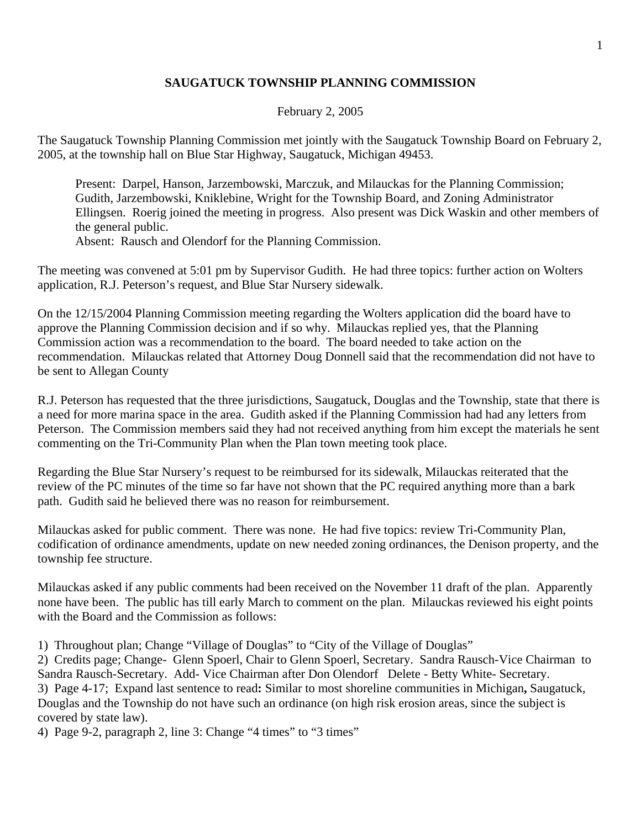## **SAUGATUCK TOWNSHIP PLANNING COMMISSION**

## February 2, 2005

The Saugatuck Township Planning Commission met jointly with the Saugatuck Township Board on February 2, 2005, at the township hall on Blue Star Highway, Saugatuck, Michigan 49453.

Present: Darpel, Hanson, Jarzembowski, Marczuk, and Milauckas for the Planning Commission; Gudith, Jarzembowski, Kniklebine, Wright for the Township Board, and Zoning Administrator Ellingsen. Roerig joined the meeting in progress. Also present was Dick Waskin and other members of the general public.

Absent: Rausch and Olendorf for the Planning Commission.

The meeting was convened at 5:01 pm by Supervisor Gudith. He had three topics: further action on Wolters application, R.J. Peterson's request, and Blue Star Nursery sidewalk.

On the 12/15/2004 Planning Commission meeting regarding the Wolters application did the board have to approve the Planning Commission decision and if so why. Milauckas replied yes, that the Planning Commission action was a recommendation to the board. The board needed to take action on the recommendation. Milauckas related that Attorney Doug Donnell said that the recommendation did not have to be sent to Allegan County

R.J. Peterson has requested that the three jurisdictions, Saugatuck, Douglas and the Township, state that there is a need for more marina space in the area. Gudith asked if the Planning Commission had had any letters from Peterson. The Commission members said they had not received anything from him except the materials he sent commenting on the Tri-Community Plan when the Plan town meeting took place.

Regarding the Blue Star Nursery's request to be reimbursed for its sidewalk, Milauckas reiterated that the review of the PC minutes of the time so far have not shown that the PC required anything more than a bark path. Gudith said he believed there was no reason for reimbursement.

Milauckas asked for public comment. There was none. He had five topics: review Tri-Community Plan, codification of ordinance amendments, update on new needed zoning ordinances, the Denison property, and the township fee structure.

Milauckas asked if any public comments had been received on the November 11 draft of the plan. Apparently none have been. The public has till early March to comment on the plan. Milauckas reviewed his eight points with the Board and the Commission as follows:

1) Throughout plan; Change "Village of Douglas" to "City of the Village of Douglas"

2) Credits page; Change- Glenn Spoerl, Chair to Glenn Spoerl, Secretary. Sandra Rausch-Vice Chairman to Sandra Rausch-Secretary. Add- Vice Chairman after Don Olendorf Delete - Betty White- Secretary. 3) Page 4-17; Expand last sentence to read**:** Similar to most shoreline communities in Michigan**,** Saugatuck, Douglas and the Township do not have such an ordinance (on high risk erosion areas, since the subject is covered by state law).

4) Page 9-2, paragraph 2, line 3: Change "4 times" to "3 times"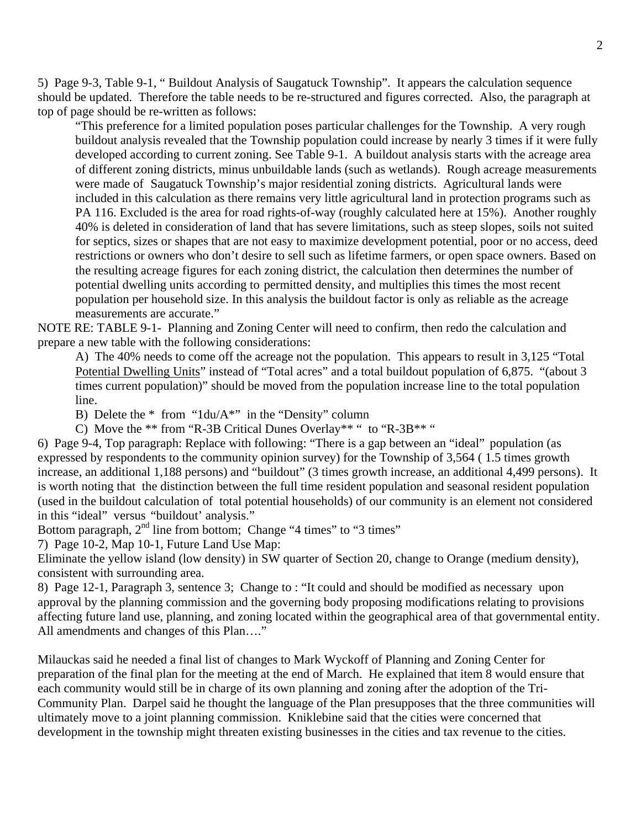5) Page 9-3, Table 9-1, " Buildout Analysis of Saugatuck Township". It appears the calculation sequence should be updated. Therefore the table needs to be re-structured and figures corrected. Also, the paragraph at top of page should be re-written as follows:

"This preference for a limited population poses particular challenges for the Township. A very rough buildout analysis revealed that the Township population could increase by nearly 3 times if it were fully developed according to current zoning. See Table 9-1. A buildout analysis starts with the acreage area of different zoning districts, minus unbuildable lands (such as wetlands). Rough acreage measurements were made of Saugatuck Township's major residential zoning districts. Agricultural lands were included in this calculation as there remains very little agricultural land in protection programs such as PA 116. Excluded is the area for road rights-of-way (roughly calculated here at 15%). Another roughly 40% is deleted in consideration of land that has severe limitations, such as steep slopes, soils not suited for septics, sizes or shapes that are not easy to maximize development potential, poor or no access, deed restrictions or owners who don't desire to sell such as lifetime farmers, or open space owners. Based on the resulting acreage figures for each zoning district, the calculation then determines the number of potential dwelling units according to permitted density, and multiplies this times the most recent population per household size. In this analysis the buildout factor is only as reliable as the acreage measurements are accurate."

NOTE RE: TABLE 9-1- Planning and Zoning Center will need to confirm, then redo the calculation and prepare a new table with the following considerations:

A) The 40% needs to come off the acreage not the population. This appears to result in 3,125 "Total Potential Dwelling Units" instead of "Total acres" and a total buildout population of 6,875. "(about 3 times current population)" should be moved from the population increase line to the total population line.

B) Delete the \* from "1du/A\*" in the "Density" column

C) Move the \*\* from "R-3B Critical Dunes Overlay\*\* " to "R-3B\*\* "

6) Page 9-4, Top paragraph: Replace with following: "There is a gap between an "ideal" population (as expressed by respondents to the community opinion survey) for the Township of 3,564 ( 1.5 times growth increase, an additional 1,188 persons) and "buildout" (3 times growth increase, an additional 4,499 persons). It is worth noting that the distinction between the full time resident population and seasonal resident population (used in the buildout calculation of total potential households) of our community is an element not considered in this "ideal" versus "buildout' analysis."

Bottom paragraph,  $2<sup>nd</sup>$  line from bottom; Change "4 times" to "3 times"

7) Page 10-2, Map 10-1, Future Land Use Map:

Eliminate the yellow island (low density) in SW quarter of Section 20, change to Orange (medium density), consistent with surrounding area.

8) Page 12-1, Paragraph 3, sentence 3; Change to : "It could and should be modified as necessary upon approval by the planning commission and the governing body proposing modifications relating to provisions affecting future land use, planning, and zoning located within the geographical area of that governmental entity. All amendments and changes of this Plan…."

Milauckas said he needed a final list of changes to Mark Wyckoff of Planning and Zoning Center for preparation of the final plan for the meeting at the end of March. He explained that item 8 would ensure that each community would still be in charge of its own planning and zoning after the adoption of the Tri-Community Plan. Darpel said he thought the language of the Plan presupposes that the three communities will ultimately move to a joint planning commission. Kniklebine said that the cities were concerned that development in the township might threaten existing businesses in the cities and tax revenue to the cities.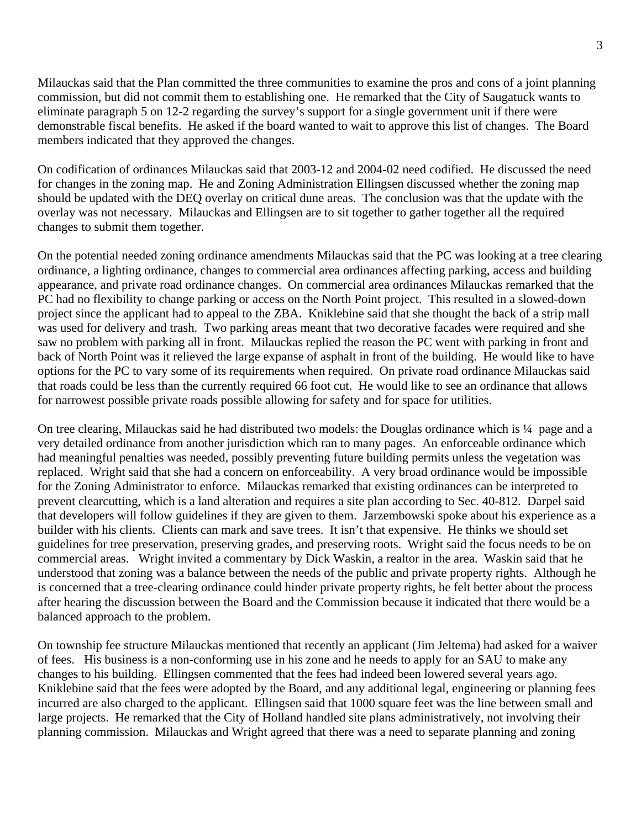Milauckas said that the Plan committed the three communities to examine the pros and cons of a joint planning commission, but did not commit them to establishing one. He remarked that the City of Saugatuck wants to eliminate paragraph 5 on 12-2 regarding the survey's support for a single government unit if there were demonstrable fiscal benefits. He asked if the board wanted to wait to approve this list of changes. The Board members indicated that they approved the changes.

On codification of ordinances Milauckas said that 2003-12 and 2004-02 need codified. He discussed the need for changes in the zoning map. He and Zoning Administration Ellingsen discussed whether the zoning map should be updated with the DEQ overlay on critical dune areas. The conclusion was that the update with the overlay was not necessary. Milauckas and Ellingsen are to sit together to gather together all the required changes to submit them together.

On the potential needed zoning ordinance amendments Milauckas said that the PC was looking at a tree clearing ordinance, a lighting ordinance, changes to commercial area ordinances affecting parking, access and building appearance, and private road ordinance changes. On commercial area ordinances Milauckas remarked that the PC had no flexibility to change parking or access on the North Point project. This resulted in a slowed-down project since the applicant had to appeal to the ZBA. Kniklebine said that she thought the back of a strip mall was used for delivery and trash. Two parking areas meant that two decorative facades were required and she saw no problem with parking all in front. Milauckas replied the reason the PC went with parking in front and back of North Point was it relieved the large expanse of asphalt in front of the building. He would like to have options for the PC to vary some of its requirements when required. On private road ordinance Milauckas said that roads could be less than the currently required 66 foot cut. He would like to see an ordinance that allows for narrowest possible private roads possible allowing for safety and for space for utilities.

On tree clearing, Milauckas said he had distributed two models: the Douglas ordinance which is ¼ page and a very detailed ordinance from another jurisdiction which ran to many pages. An enforceable ordinance which had meaningful penalties was needed, possibly preventing future building permits unless the vegetation was replaced. Wright said that she had a concern on enforceability. A very broad ordinance would be impossible for the Zoning Administrator to enforce. Milauckas remarked that existing ordinances can be interpreted to prevent clearcutting, which is a land alteration and requires a site plan according to Sec. 40-812. Darpel said that developers will follow guidelines if they are given to them. Jarzembowski spoke about his experience as a builder with his clients. Clients can mark and save trees. It isn't that expensive. He thinks we should set guidelines for tree preservation, preserving grades, and preserving roots. Wright said the focus needs to be on commercial areas. Wright invited a commentary by Dick Waskin, a realtor in the area. Waskin said that he understood that zoning was a balance between the needs of the public and private property rights. Although he is concerned that a tree-clearing ordinance could hinder private property rights, he felt better about the process after hearing the discussion between the Board and the Commission because it indicated that there would be a balanced approach to the problem.

On township fee structure Milauckas mentioned that recently an applicant (Jim Jeltema) had asked for a waiver of fees. His business is a non-conforming use in his zone and he needs to apply for an SAU to make any changes to his building. Ellingsen commented that the fees had indeed been lowered several years ago. Kniklebine said that the fees were adopted by the Board, and any additional legal, engineering or planning fees incurred are also charged to the applicant. Ellingsen said that 1000 square feet was the line between small and large projects. He remarked that the City of Holland handled site plans administratively, not involving their planning commission. Milauckas and Wright agreed that there was a need to separate planning and zoning